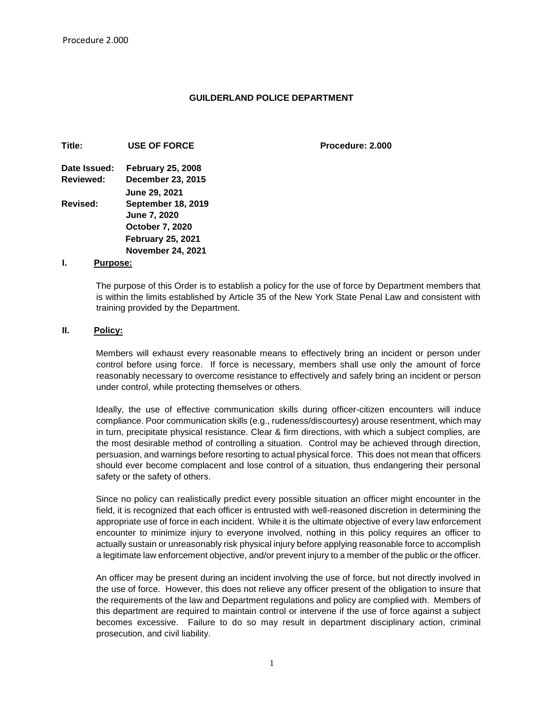#### **GUILDERLAND POLICE DEPARTMENT**

**Procedure: 2.000** 

| Title:       | <b>USE OF FORCE</b>       |
|--------------|---------------------------|
| Date Issued: | <b>February 25, 2008</b>  |
| Reviewed:    | December 23, 2015         |
|              | <b>June 29, 2021</b>      |
| Revised:     | <b>September 18, 2019</b> |
|              | <b>June 7, 2020</b>       |
|              | <b>October 7, 2020</b>    |
|              | <b>February 25, 2021</b>  |
|              | <b>November 24, 2021</b>  |

#### **I. Purpose:**

The purpose of this Order is to establish a policy for the use of force by Department members that is within the limits established by Article 35 of the New York State Penal Law and consistent with training provided by the Department.

#### **II. Policy:**

Members will exhaust every reasonable means to effectively bring an incident or person under control before using force. If force is necessary, members shall use only the amount of force reasonably necessary to overcome resistance to effectively and safely bring an incident or person under control, while protecting themselves or others.

Ideally, the use of effective communication skills during officer-citizen encounters will induce compliance. Poor communication skills (e.g., rudeness/discourtesy) arouse resentment, which may in turn, precipitate physical resistance. Clear & firm directions, with which a subject complies, are the most desirable method of controlling a situation. Control may be achieved through direction, persuasion, and warnings before resorting to actual physical force. This does not mean that officers should ever become complacent and lose control of a situation, thus endangering their personal safety or the safety of others.

Since no policy can realistically predict every possible situation an officer might encounter in the field, it is recognized that each officer is entrusted with well-reasoned discretion in determining the appropriate use of force in each incident. While it is the ultimate objective of every law enforcement encounter to minimize injury to everyone involved, nothing in this policy requires an officer to actually sustain or unreasonably risk physical injury before applying reasonable force to accomplish a legitimate law enforcement objective, and/or prevent injury to a member of the public or the officer.

An officer may be present during an incident involving the use of force, but not directly involved in the use of force. However, this does not relieve any officer present of the obligation to insure that the requirements of the law and Department regulations and policy are complied with. Members of this department are required to maintain control or intervene if the use of force against a subject becomes excessive. Failure to do so may result in department disciplinary action, criminal prosecution, and civil liability.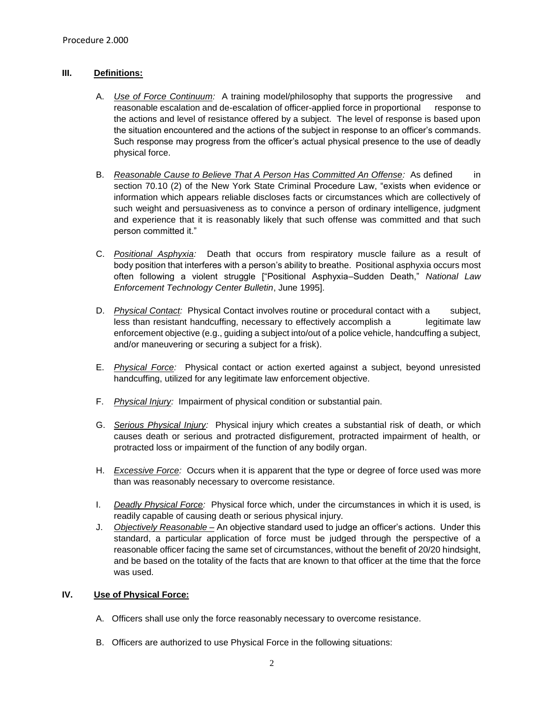# **III. Definitions:**

- A. *Use of Force Continuum:* A training model/philosophy that supports the progressive and reasonable escalation and de-escalation of officer-applied force in proportional response to the actions and level of resistance offered by a subject. The level of response is based upon the situation encountered and the actions of the subject in response to an officer's commands. Such response may progress from the officer's actual physical presence to the use of deadly physical force.
- B. *Reasonable Cause to Believe That A Person Has Committed An Offense:* As defined in section 70.10 (2) of the New York State Criminal Procedure Law, "exists when evidence or information which appears reliable discloses facts or circumstances which are collectively of such weight and persuasiveness as to convince a person of ordinary intelligence, judgment and experience that it is reasonably likely that such offense was committed and that such person committed it."
- C. *Positional Asphyxia:* Death that occurs from respiratory muscle failure as a result of body position that interferes with a person's ability to breathe. Positional asphyxia occurs most often following a violent struggle ["Positional Asphyxia–Sudden Death," *National Law Enforcement Technology Center Bulletin*, June 1995].
- D. *Physical Contact:* Physical Contact involves routine or procedural contact with a subject, less than resistant handcuffing, necessary to effectively accomplish a legitimate law enforcement objective (e.g., guiding a subject into/out of a police vehicle, handcuffing a subject, and/or maneuvering or securing a subject for a frisk).
- E. *Physical Force:* Physical contact or action exerted against a subject, beyond unresisted handcuffing, utilized for any legitimate law enforcement objective.
- F. *Physical Injury:* Impairment of physical condition or substantial pain.
- G. *Serious Physical Injury:* Physical injury which creates a substantial risk of death, or which causes death or serious and protracted disfigurement, protracted impairment of health, or protracted loss or impairment of the function of any bodily organ.
- H. *Excessive Force:* Occurs when it is apparent that the type or degree of force used was more than was reasonably necessary to overcome resistance.
- I. *Deadly Physical Force:* Physical force which, under the circumstances in which it is used, is readily capable of causing death or serious physical injury.
- J. *Objectively Reasonable –* An objective standard used to judge an officer's actions. Under this standard, a particular application of force must be judged through the perspective of a reasonable officer facing the same set of circumstances, without the benefit of 20/20 hindsight, and be based on the totality of the facts that are known to that officer at the time that the force was used.

## **IV. Use of Physical Force:**

- A. Officers shall use only the force reasonably necessary to overcome resistance.
- B. Officers are authorized to use Physical Force in the following situations: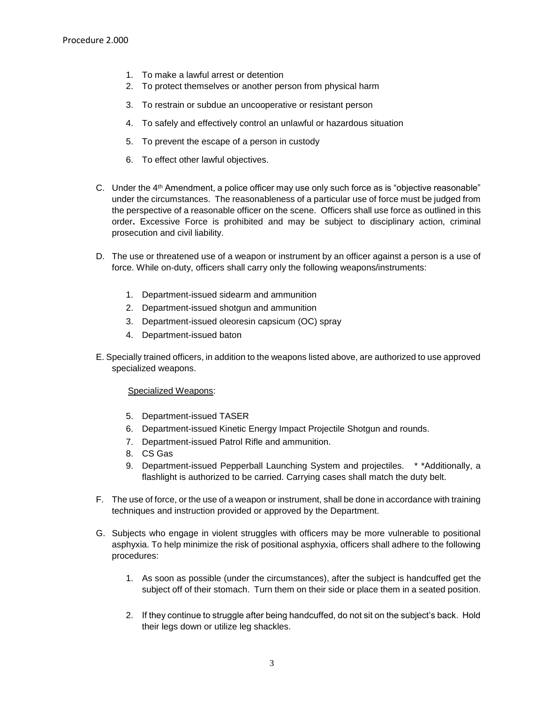- 1. To make a lawful arrest or detention
- 2. To protect themselves or another person from physical harm
- 3. To restrain or subdue an uncooperative or resistant person
- 4. To safely and effectively control an unlawful or hazardous situation
- 5. To prevent the escape of a person in custody
- 6. To effect other lawful objectives.
- C. Under the 4th Amendment, a police officer may use only such force as is "objective reasonable" under the circumstances. The reasonableness of a particular use of force must be judged from the perspective of a reasonable officer on the scene. Officers shall use force as outlined in this order**.** Excessive Force is prohibited and may be subject to disciplinary action, criminal prosecution and civil liability.
- D. The use or threatened use of a weapon or instrument by an officer against a person is a use of force. While on-duty, officers shall carry only the following weapons/instruments:
	- 1. Department-issued sidearm and ammunition
	- 2. Department-issued shotgun and ammunition
	- 3. Department-issued oleoresin capsicum (OC) spray
	- 4. Department-issued baton
- E. Specially trained officers, in addition to the weapons listed above, are authorized to use approved specialized weapons.

#### Specialized Weapons:

- 5. Department-issued TASER
- 6. Department-issued Kinetic Energy Impact Projectile Shotgun and rounds.
- 7. Department-issued Patrol Rifle and ammunition.
- 8. CS Gas
- 9. Department-issued Pepperball Launching System and projectiles. \* \*Additionally, a flashlight is authorized to be carried. Carrying cases shall match the duty belt.
- F. The use of force, or the use of a weapon or instrument, shall be done in accordance with training techniques and instruction provided or approved by the Department.
- G. Subjects who engage in violent struggles with officers may be more vulnerable to positional asphyxia. To help minimize the risk of positional asphyxia, officers shall adhere to the following procedures:
	- 1. As soon as possible (under the circumstances), after the subject is handcuffed get the subject off of their stomach. Turn them on their side or place them in a seated position.
	- 2. If they continue to struggle after being handcuffed, do not sit on the subject's back. Hold their legs down or utilize leg shackles.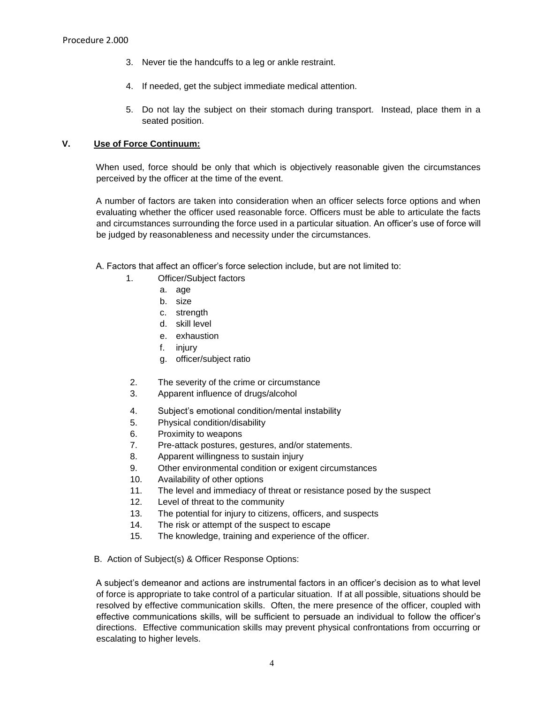- 3. Never tie the handcuffs to a leg or ankle restraint.
- 4. If needed, get the subject immediate medical attention.
- 5. Do not lay the subject on their stomach during transport. Instead, place them in a seated position.

#### **V. Use of Force Continuum:**

When used, force should be only that which is objectively reasonable given the circumstances perceived by the officer at the time of the event.

A number of factors are taken into consideration when an officer selects force options and when evaluating whether the officer used reasonable force. Officers must be able to articulate the facts and circumstances surrounding the force used in a particular situation. An officer's use of force will be judged by reasonableness and necessity under the circumstances.

- A. Factors that affect an officer's force selection include, but are not limited to:
	- 1. Officer/Subject factors
		- a. age
		- b. size
		- c. strength
		- d. skill level
		- e. exhaustion
		- f. injury
		- g. officer/subject ratio
	- 2. The severity of the crime or circumstance
	- 3. Apparent influence of drugs/alcohol
	- 4. Subject's emotional condition/mental instability
	- 5. Physical condition/disability
	- 6. Proximity to weapons
	- 7. Pre-attack postures, gestures, and/or statements.
	- 8. Apparent willingness to sustain injury
	- 9. Other environmental condition or exigent circumstances
	- 10. Availability of other options
	- 11. The level and immediacy of threat or resistance posed by the suspect
	- 12. Level of threat to the community
	- 13. The potential for injury to citizens, officers, and suspects
	- 14. The risk or attempt of the suspect to escape
	- 15. The knowledge, training and experience of the officer.
- B. Action of Subject(s) & Officer Response Options:

A subject's demeanor and actions are instrumental factors in an officer's decision as to what level of force is appropriate to take control of a particular situation. If at all possible, situations should be resolved by effective communication skills. Often, the mere presence of the officer, coupled with effective communications skills, will be sufficient to persuade an individual to follow the officer's directions. Effective communication skills may prevent physical confrontations from occurring or escalating to higher levels.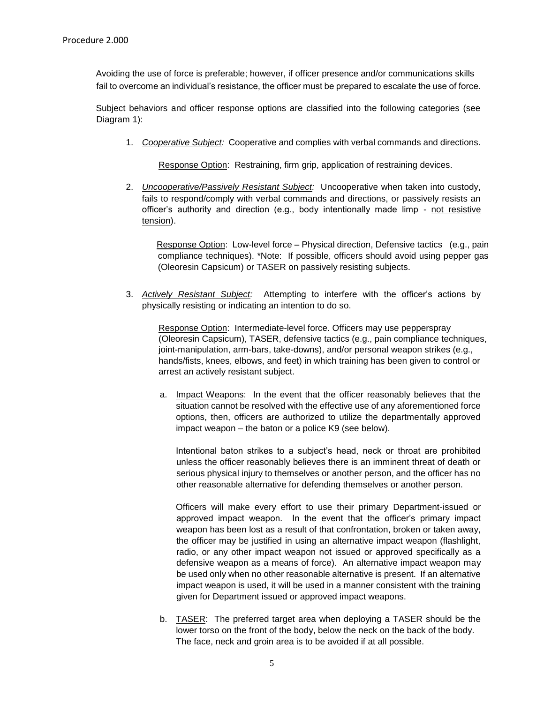Avoiding the use of force is preferable; however, if officer presence and/or communications skills fail to overcome an individual's resistance, the officer must be prepared to escalate the use of force.

Subject behaviors and officer response options are classified into the following categories (see Diagram 1):

1. *Cooperative Subject:* Cooperative and complies with verbal commands and directions.

Response Option: Restraining, firm grip, application of restraining devices.

2. *Uncooperative/Passively Resistant Subject:* Uncooperative when taken into custody, fails to respond/comply with verbal commands and directions, or passively resists an officer's authority and direction (e.g., body intentionally made limp - not resistive tension).

 Response Option: Low-level force – Physical direction, Defensive tactics (e.g., pain compliance techniques). \*Note: If possible, officers should avoid using pepper gas (Oleoresin Capsicum) or TASER on passively resisting subjects.

3. *Actively Resistant Subject:* Attempting to interfere with the officer's actions by physically resisting or indicating an intention to do so.

Response Option: Intermediate-level force. Officers may use pepperspray (Oleoresin Capsicum), TASER, defensive tactics (e.g., pain compliance techniques, joint-manipulation, arm-bars, take-downs), and/or personal weapon strikes (e.g., hands/fists, knees, elbows, and feet) in which training has been given to control or arrest an actively resistant subject.

a. Impact Weapons: In the event that the officer reasonably believes that the situation cannot be resolved with the effective use of any aforementioned force options, then, officers are authorized to utilize the departmentally approved impact weapon – the baton or a police K9 (see below).

Intentional baton strikes to a subject's head, neck or throat are prohibited unless the officer reasonably believes there is an imminent threat of death or serious physical injury to themselves or another person, and the officer has no other reasonable alternative for defending themselves or another person.

Officers will make every effort to use their primary Department-issued or approved impact weapon. In the event that the officer's primary impact weapon has been lost as a result of that confrontation, broken or taken away, the officer may be justified in using an alternative impact weapon (flashlight, radio, or any other impact weapon not issued or approved specifically as a defensive weapon as a means of force). An alternative impact weapon may be used only when no other reasonable alternative is present. If an alternative impact weapon is used, it will be used in a manner consistent with the training given for Department issued or approved impact weapons.

b. TASER: The preferred target area when deploying a TASER should be the lower torso on the front of the body, below the neck on the back of the body. The face, neck and groin area is to be avoided if at all possible.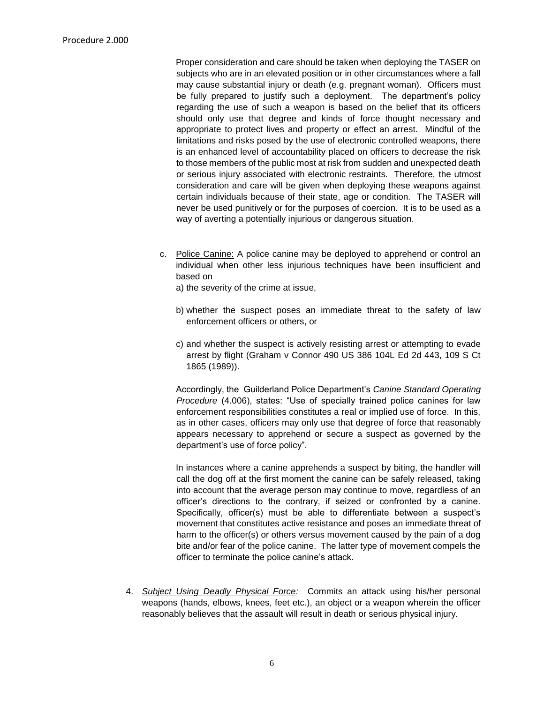Proper consideration and care should be taken when deploying the TASER on subjects who are in an elevated position or in other circumstances where a fall may cause substantial injury or death (e.g. pregnant woman). Officers must be fully prepared to justify such a deployment. The department's policy regarding the use of such a weapon is based on the belief that its officers should only use that degree and kinds of force thought necessary and appropriate to protect lives and property or effect an arrest. Mindful of the limitations and risks posed by the use of electronic controlled weapons, there is an enhanced level of accountability placed on officers to decrease the risk to those members of the public most at risk from sudden and unexpected death or serious injury associated with electronic restraints. Therefore, the utmost consideration and care will be given when deploying these weapons against certain individuals because of their state, age or condition. The TASER will never be used punitively or for the purposes of coercion. It is to be used as a way of averting a potentially injurious or dangerous situation.

c. Police Canine: A police canine may be deployed to apprehend or control an individual when other less injurious techniques have been insufficient and based on

a) the severity of the crime at issue,

- b) whether the suspect poses an immediate threat to the safety of law enforcement officers or others, or
- c) and whether the suspect is actively resisting arrest or attempting to evade arrest by flight (Graham v Connor 490 US 386 104L Ed 2d 443, 109 S Ct 1865 (1989)).

Accordingly, the Guilderland Police Department's *Canine Standard Operating Procedure* (4.006), states: "Use of specially trained police canines for law enforcement responsibilities constitutes a real or implied use of force. In this, as in other cases, officers may only use that degree of force that reasonably appears necessary to apprehend or secure a suspect as governed by the department's use of force policy".

In instances where a canine apprehends a suspect by biting, the handler will call the dog off at the first moment the canine can be safely released, taking into account that the average person may continue to move, regardless of an officer's directions to the contrary, if seized or confronted by a canine. Specifically, officer(s) must be able to differentiate between a suspect's movement that constitutes active resistance and poses an immediate threat of harm to the officer(s) or others versus movement caused by the pain of a dog bite and/or fear of the police canine. The latter type of movement compels the officer to terminate the police canine's attack.

4. *Subject Using Deadly Physical Force:* Commits an attack using his/her personal weapons (hands, elbows, knees, feet etc.), an object or a weapon wherein the officer reasonably believes that the assault will result in death or serious physical injury.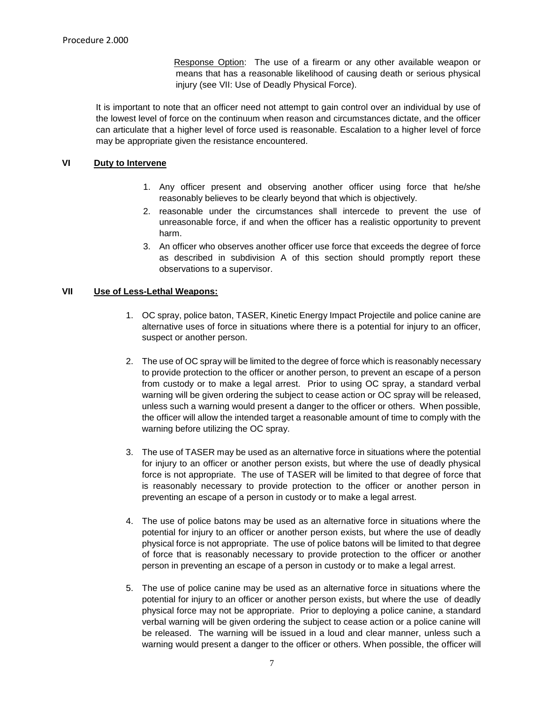Response Option: The use of a firearm or any other available weapon or means that has a reasonable likelihood of causing death or serious physical injury (see VII: Use of Deadly Physical Force).

It is important to note that an officer need not attempt to gain control over an individual by use of the lowest level of force on the continuum when reason and circumstances dictate, and the officer can articulate that a higher level of force used is reasonable. Escalation to a higher level of force may be appropriate given the resistance encountered.

## **VI Duty to Intervene**

- 1. Any officer present and observing another officer using force that he/she reasonably believes to be clearly beyond that which is objectively.
- 2. reasonable under the circumstances shall intercede to prevent the use of unreasonable force, if and when the officer has a realistic opportunity to prevent harm.
- 3. An officer who observes another officer use force that exceeds the degree of force as described in subdivision A of this section should promptly report these observations to a supervisor.

## **VII Use of Less-Lethal Weapons:**

- 1. OC spray, police baton, TASER, Kinetic Energy Impact Projectile and police canine are alternative uses of force in situations where there is a potential for injury to an officer, suspect or another person.
- 2. The use of OC spray will be limited to the degree of force which is reasonably necessary to provide protection to the officer or another person, to prevent an escape of a person from custody or to make a legal arrest. Prior to using OC spray, a standard verbal warning will be given ordering the subject to cease action or OC spray will be released, unless such a warning would present a danger to the officer or others. When possible, the officer will allow the intended target a reasonable amount of time to comply with the warning before utilizing the OC spray.
- 3. The use of TASER may be used as an alternative force in situations where the potential for injury to an officer or another person exists, but where the use of deadly physical force is not appropriate. The use of TASER will be limited to that degree of force that is reasonably necessary to provide protection to the officer or another person in preventing an escape of a person in custody or to make a legal arrest.
- 4. The use of police batons may be used as an alternative force in situations where the potential for injury to an officer or another person exists, but where the use of deadly physical force is not appropriate. The use of police batons will be limited to that degree of force that is reasonably necessary to provide protection to the officer or another person in preventing an escape of a person in custody or to make a legal arrest.
- 5. The use of police canine may be used as an alternative force in situations where the potential for injury to an officer or another person exists, but where the use of deadly physical force may not be appropriate. Prior to deploying a police canine, a standard verbal warning will be given ordering the subject to cease action or a police canine will be released. The warning will be issued in a loud and clear manner, unless such a warning would present a danger to the officer or others. When possible, the officer will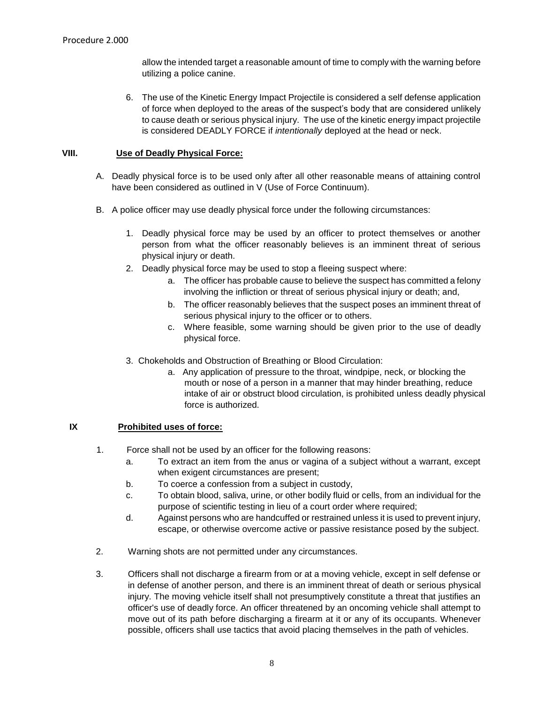allow the intended target a reasonable amount of time to comply with the warning before utilizing a police canine.

6. The use of the Kinetic Energy Impact Projectile is considered a self defense application of force when deployed to the areas of the suspect's body that are considered unlikely to cause death or serious physical injury. The use of the kinetic energy impact projectile is considered DEADLY FORCE if *intentionally* deployed at the head or neck.

## **VIII. Use of Deadly Physical Force:**

- A. Deadly physical force is to be used only after all other reasonable means of attaining control have been considered as outlined in V (Use of Force Continuum).
- B. A police officer may use deadly physical force under the following circumstances:
	- 1. Deadly physical force may be used by an officer to protect themselves or another person from what the officer reasonably believes is an imminent threat of serious physical injury or death.
	- 2. Deadly physical force may be used to stop a fleeing suspect where:
		- a. The officer has probable cause to believe the suspect has committed a felony involving the infliction or threat of serious physical injury or death; and,
		- b. The officer reasonably believes that the suspect poses an imminent threat of serious physical injury to the officer or to others.
		- c. Where feasible, some warning should be given prior to the use of deadly physical force.
	- 3. Chokeholds and Obstruction of Breathing or Blood Circulation:
		- a. Any application of pressure to the throat, windpipe, neck, or blocking the mouth or nose of a person in a manner that may hinder breathing, reduce intake of air or obstruct blood circulation, is prohibited unless deadly physical force is authorized.

## **IX Prohibited uses of force:**

- 1. Force shall not be used by an officer for the following reasons:
	- a. To extract an item from the anus or vagina of a subject without a warrant, except when exigent circumstances are present;
	- b. To coerce a confession from a subject in custody,
	- c. To obtain blood, saliva, urine, or other bodily fluid or cells, from an individual for the purpose of scientific testing in lieu of a court order where required;
	- d. Against persons who are handcuffed or restrained unless it is used to prevent injury, escape, or otherwise overcome active or passive resistance posed by the subject.
- 2. Warning shots are not permitted under any circumstances.
- 3. Officers shall not discharge a firearm from or at a moving vehicle, except in self defense or in defense of another person, and there is an imminent threat of death or serious physical injury. The moving vehicle itself shall not presumptively constitute a threat that justifies an officer's use of deadly force. An officer threatened by an oncoming vehicle shall attempt to move out of its path before discharging a firearm at it or any of its occupants. Whenever possible, officers shall use tactics that avoid placing themselves in the path of vehicles.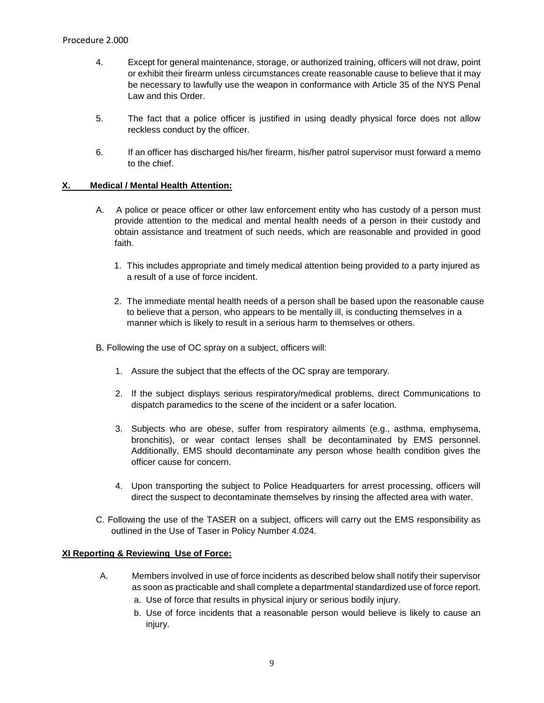- 4. Except for general maintenance, storage, or authorized training, officers will not draw, point or exhibit their firearm unless circumstances create reasonable cause to believe that it may be necessary to lawfully use the weapon in conformance with Article 35 of the NYS Penal Law and this Order.
- 5. The fact that a police officer is justified in using deadly physical force does not allow reckless conduct by the officer.
- 6. If an officer has discharged his/her firearm, his/her patrol supervisor must forward a memo to the chief.

#### **X. Medical / Mental Health Attention:**

- A. A police or peace officer or other law enforcement entity who has custody of a person must provide attention to the medical and mental health needs of a person in their custody and obtain assistance and treatment of such needs, which are reasonable and provided in good faith.
	- 1. This includes appropriate and timely medical attention being provided to a party injured as a result of a use of force incident.
	- 2. The immediate mental health needs of a person shall be based upon the reasonable cause to believe that a person, who appears to be mentally ill, is conducting themselves in a manner which is likely to result in a serious harm to themselves or others.
- B. Following the use of OC spray on a subject, officers will:
	- 1. Assure the subject that the effects of the OC spray are temporary.
	- 2. If the subject displays serious respiratory/medical problems, direct Communications to dispatch paramedics to the scene of the incident or a safer location.
	- 3. Subjects who are obese, suffer from respiratory ailments (e.g., asthma, emphysema, bronchitis), or wear contact lenses shall be decontaminated by EMS personnel. Additionally, EMS should decontaminate any person whose health condition gives the officer cause for concern.
	- 4. Upon transporting the subject to Police Headquarters for arrest processing, officers will direct the suspect to decontaminate themselves by rinsing the affected area with water.
- C. Following the use of the TASER on a subject, officers will carry out the EMS responsibility as outlined in the Use of Taser in Policy Number 4.024.

#### **XI Reporting & Reviewing Use of Force:**

- A. Members involved in use of force incidents as described below shall notify their supervisor as soon as practicable and shall complete a departmental standardized use of force report.
	- a. Use of force that results in physical injury or serious bodily injury.
	- b. Use of force incidents that a reasonable person would believe is likely to cause an injury.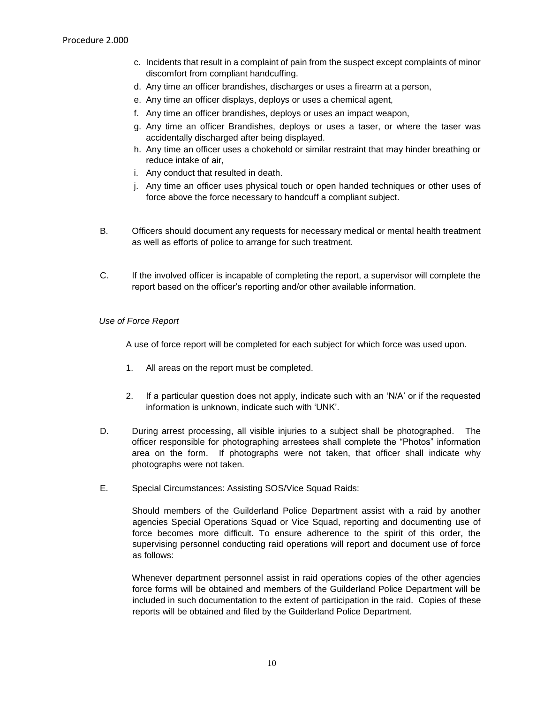- c. Incidents that result in a complaint of pain from the suspect except complaints of minor discomfort from compliant handcuffing.
- d. Any time an officer brandishes, discharges or uses a firearm at a person,
- e. Any time an officer displays, deploys or uses a chemical agent,
- f. Any time an officer brandishes, deploys or uses an impact weapon,
- g. Any time an officer Brandishes, deploys or uses a taser, or where the taser was accidentally discharged after being displayed.
- h. Any time an officer uses a chokehold or similar restraint that may hinder breathing or reduce intake of air,
- i. Any conduct that resulted in death.
- j. Any time an officer uses physical touch or open handed techniques or other uses of force above the force necessary to handcuff a compliant subject.
- B. Officers should document any requests for necessary medical or mental health treatment as well as efforts of police to arrange for such treatment.
- C. If the involved officer is incapable of completing the report, a supervisor will complete the report based on the officer's reporting and/or other available information.

#### *Use of Force Report*

A use of force report will be completed for each subject for which force was used upon.

- 1. All areas on the report must be completed.
- 2. If a particular question does not apply, indicate such with an 'N/A' or if the requested information is unknown, indicate such with 'UNK'.
- D. During arrest processing, all visible injuries to a subject shall be photographed. The officer responsible for photographing arrestees shall complete the "Photos" information area on the form. If photographs were not taken, that officer shall indicate why photographs were not taken.
- E. Special Circumstances: Assisting SOS/Vice Squad Raids:

Should members of the Guilderland Police Department assist with a raid by another agencies Special Operations Squad or Vice Squad, reporting and documenting use of force becomes more difficult. To ensure adherence to the spirit of this order, the supervising personnel conducting raid operations will report and document use of force as follows:

Whenever department personnel assist in raid operations copies of the other agencies force forms will be obtained and members of the Guilderland Police Department will be included in such documentation to the extent of participation in the raid. Copies of these reports will be obtained and filed by the Guilderland Police Department.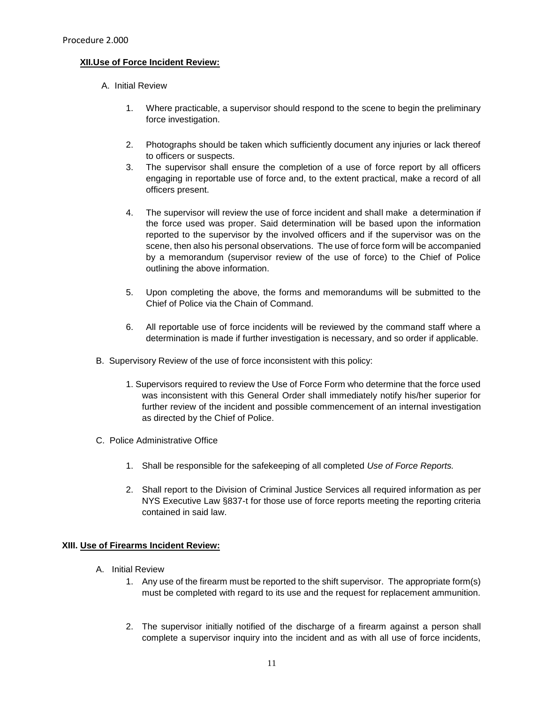#### **XII.Use of Force Incident Review:**

- A. Initial Review
	- 1. Where practicable, a supervisor should respond to the scene to begin the preliminary force investigation.
	- 2. Photographs should be taken which sufficiently document any injuries or lack thereof to officers or suspects.
	- 3. The supervisor shall ensure the completion of a use of force report by all officers engaging in reportable use of force and, to the extent practical, make a record of all officers present.
	- 4. The supervisor will review the use of force incident and shall make a determination if the force used was proper. Said determination will be based upon the information reported to the supervisor by the involved officers and if the supervisor was on the scene, then also his personal observations. The use of force form will be accompanied by a memorandum (supervisor review of the use of force) to the Chief of Police outlining the above information.
	- 5. Upon completing the above, the forms and memorandums will be submitted to the Chief of Police via the Chain of Command.
	- 6. All reportable use of force incidents will be reviewed by the command staff where a determination is made if further investigation is necessary, and so order if applicable.
- B. Supervisory Review of the use of force inconsistent with this policy:
	- 1. Supervisors required to review the Use of Force Form who determine that the force used was inconsistent with this General Order shall immediately notify his/her superior for further review of the incident and possible commencement of an internal investigation as directed by the Chief of Police.
- C. Police Administrative Office
	- 1. Shall be responsible for the safekeeping of all completed *Use of Force Reports.*
	- 2. Shall report to the Division of Criminal Justice Services all required information as per NYS Executive Law §837-t for those use of force reports meeting the reporting criteria contained in said law.

## **XIII. Use of Firearms Incident Review:**

- A. Initial Review
	- 1. Any use of the firearm must be reported to the shift supervisor. The appropriate form(s) must be completed with regard to its use and the request for replacement ammunition.
	- 2. The supervisor initially notified of the discharge of a firearm against a person shall complete a supervisor inquiry into the incident and as with all use of force incidents,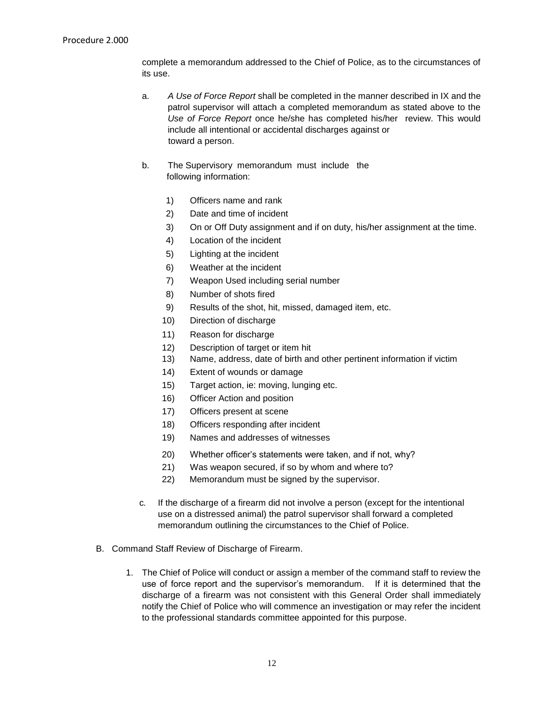complete a memorandum addressed to the Chief of Police, as to the circumstances of its use.

- a. *A Use of Force Report* shall be completed in the manner described in IX and the patrol supervisor will attach a completed memorandum as stated above to the *Use of Force Report* once he/she has completed his/her review. This would include all intentional or accidental discharges against or toward a person.
- b. The Supervisory memorandum must include the following information:
	- 1) Officers name and rank
	- 2) Date and time of incident
	- 3) On or Off Duty assignment and if on duty, his/her assignment at the time.
	- 4) Location of the incident
	- 5) Lighting at the incident
	- 6) Weather at the incident
	- 7) Weapon Used including serial number
	- 8) Number of shots fired
	- 9) Results of the shot, hit, missed, damaged item, etc.
	- 10) Direction of discharge
	- 11) Reason for discharge
	- 12) Description of target or item hit
	- 13) Name, address, date of birth and other pertinent information if victim
	- 14) Extent of wounds or damage
	- 15) Target action, ie: moving, lunging etc.
	- 16) Officer Action and position
	- 17) Officers present at scene
	- 18) Officers responding after incident
	- 19) Names and addresses of witnesses
	- 20) Whether officer's statements were taken, and if not, why?
	- 21) Was weapon secured, if so by whom and where to?
	- 22) Memorandum must be signed by the supervisor.
- c*.* If the discharge of a firearm did not involve a person (except for the intentional use on a distressed animal) the patrol supervisor shall forward a completed memorandum outlining the circumstances to the Chief of Police.
- B. Command Staff Review of Discharge of Firearm.
	- 1. The Chief of Police will conduct or assign a member of the command staff to review the use of force report and the supervisor's memorandum. If it is determined that the discharge of a firearm was not consistent with this General Order shall immediately notify the Chief of Police who will commence an investigation or may refer the incident to the professional standards committee appointed for this purpose.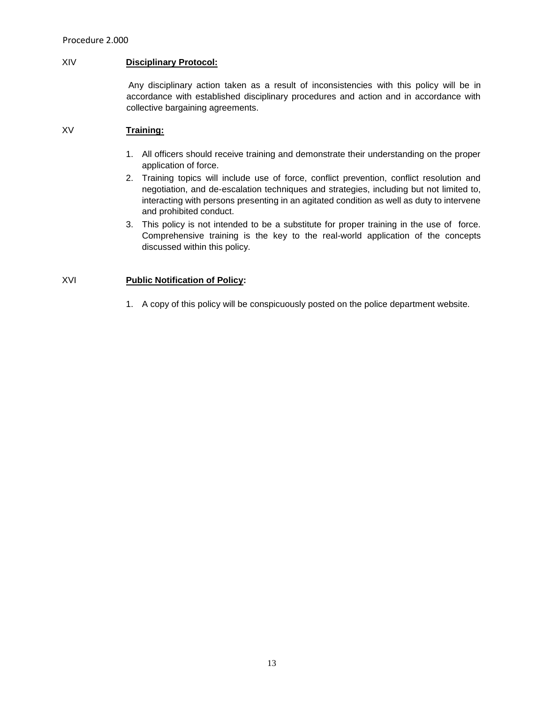#### XIV **Disciplinary Protocol:**

Any disciplinary action taken as a result of inconsistencies with this policy will be in accordance with established disciplinary procedures and action and in accordance with collective bargaining agreements.

## XV **Training:**

- 1. All officers should receive training and demonstrate their understanding on the proper application of force.
- 2. Training topics will include use of force, conflict prevention, conflict resolution and negotiation, and de-escalation techniques and strategies, including but not limited to, interacting with persons presenting in an agitated condition as well as duty to intervene and prohibited conduct.
- 3. This policy is not intended to be a substitute for proper training in the use of force. Comprehensive training is the key to the real-world application of the concepts discussed within this policy.

## XVI **Public Notification of Policy:**

1. A copy of this policy will be conspicuously posted on the police department website.